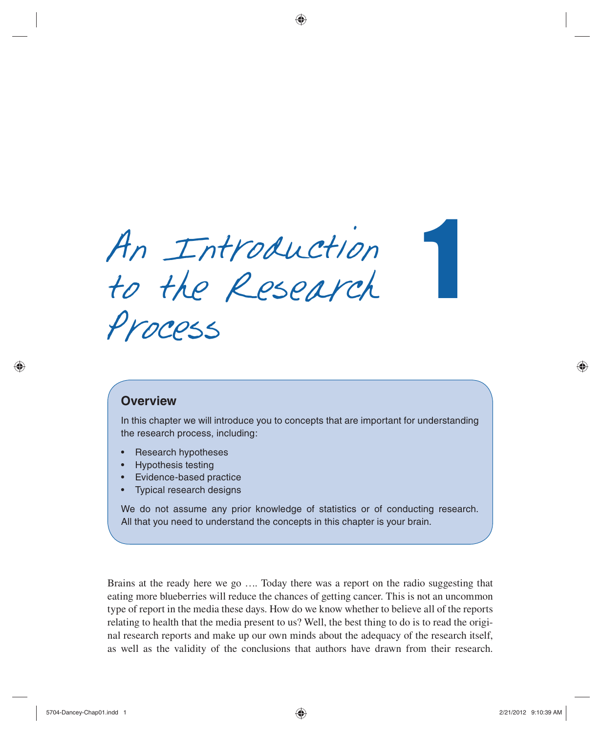An Introduction to the Research Process 1

♠

#### **Overview**

♠

In this chapter we will introduce you to concepts that are important for understanding the research process, including:

- Research hypotheses
- Hypothesis testing
- Evidence-based practice
- Typical research designs

We do not assume any prior knowledge of statistics or of conducting research. All that you need to understand the concepts in this chapter is your brain.

Brains at the ready here we go …. Today there was a report on the radio suggesting that eating more blueberries will reduce the chances of getting cancer. This is not an uncommon type of report in the media these days. How do we know whether to believe all of the reports relating to health that the media present to us? Well, the best thing to do is to read the original research reports and make up our own minds about the adequacy of the research itself, as well as the validity of the conclusions that authors have drawn from their research.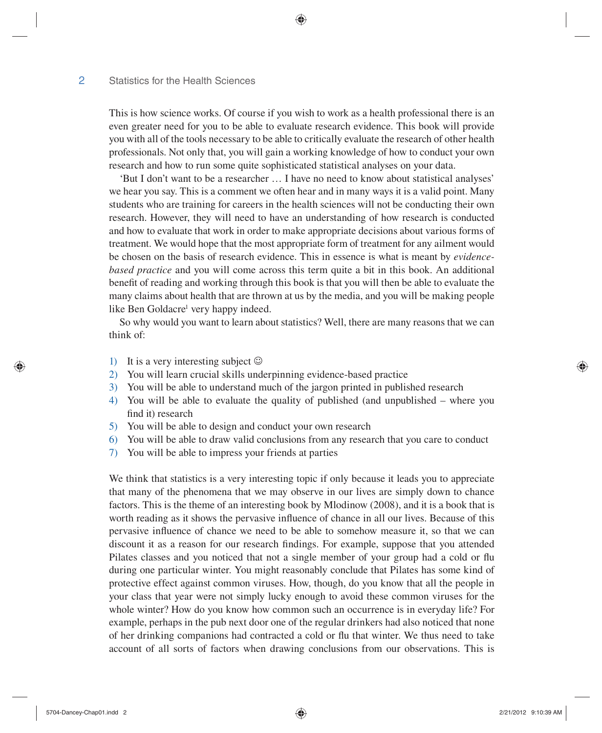This is how science works. Of course if you wish to work as a health professional there is an even greater need for you to be able to evaluate research evidence. This book will provide you with all of the tools necessary to be able to critically evaluate the research of other health professionals. Not only that, you will gain a working knowledge of how to conduct your own research and how to run some quite sophisticated statistical analyses on your data.

⊕

'But I don't want to be a researcher … I have no need to know about statistical analyses' we hear you say. This is a comment we often hear and in many ways it is a valid point. Many students who are training for careers in the health sciences will not be conducting their own research. However, they will need to have an understanding of how research is conducted and how to evaluate that work in order to make appropriate decisions about various forms of treatment. We would hope that the most appropriate form of treatment for any ailment would be chosen on the basis of research evidence. This in essence is what is meant by *evidencebased practice* and you will come across this term quite a bit in this book. An additional benefit of reading and working through this book is that you will then be able to evaluate the many claims about health that are thrown at us by the media, and you will be making people like Ben Goldacre<sup>1</sup> very happy indeed.

So why would you want to learn about statistics? Well, there are many reasons that we can think of:

- 1) It is a very interesting subject  $\odot$
- 2) You will learn crucial skills underpinning evidence-based practice
- 3) You will be able to understand much of the jargon printed in published research
- 4) You will be able to evaluate the quality of published (and unpublished where you find it) research
- 5) You will be able to design and conduct your own research
- 6) You will be able to draw valid conclusions from any research that you care to conduct
- 7) You will be able to impress your friends at parties

We think that statistics is a very interesting topic if only because it leads you to appreciate that many of the phenomena that we may observe in our lives are simply down to chance factors. This is the theme of an interesting book by Mlodinow (2008), and it is a book that is worth reading as it shows the pervasive influence of chance in all our lives. Because of this pervasive influence of chance we need to be able to somehow measure it, so that we can discount it as a reason for our research findings. For example, suppose that you attended Pilates classes and you noticed that not a single member of your group had a cold or flu during one particular winter. You might reasonably conclude that Pilates has some kind of protective effect against common viruses. How, though, do you know that all the people in your class that year were not simply lucky enough to avoid these common viruses for the whole winter? How do you know how common such an occurrence is in everyday life? For example, perhaps in the pub next door one of the regular drinkers had also noticed that none of her drinking companions had contracted a cold or flu that winter. We thus need to take account of all sorts of factors when drawing conclusions from our observations. This is

♠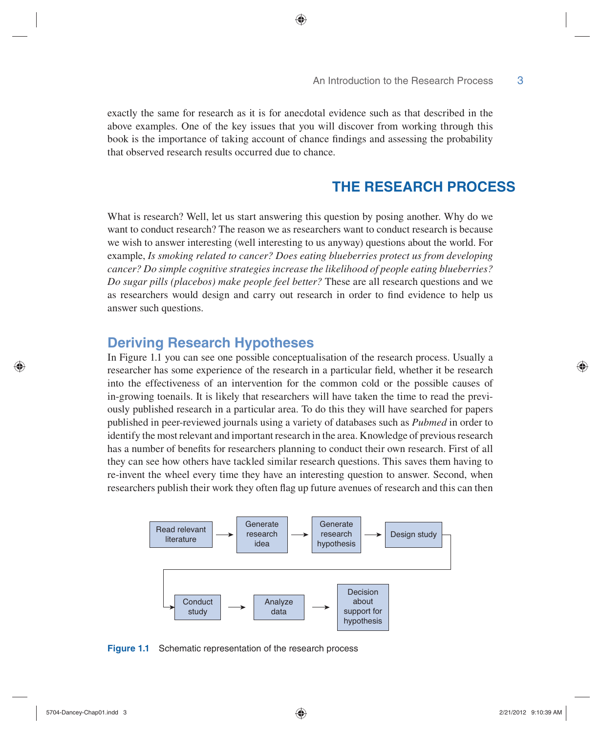exactly the same for research as it is for anecdotal evidence such as that described in the above examples. One of the key issues that you will discover from working through this book is the importance of taking account of chance findings and assessing the probability that observed research results occurred due to chance.

⊕

## **THE RESEARCH PROCESS**

What is research? Well, let us start answering this question by posing another. Why do we want to conduct research? The reason we as researchers want to conduct research is because we wish to answer interesting (well interesting to us anyway) questions about the world. For example, *Is smoking related to cancer? Does eating blueberries protect us from developing cancer? Do simple cognitive strategies increase the likelihood of people eating blueberries? Do sugar pills (placebos) make people feel better?* These are all research questions and we as researchers would design and carry out research in order to find evidence to help us answer such questions.

## **Deriving Research Hypotheses**

In Figure 1.1 you can see one possible conceptualisation of the research process. Usually a researcher has some experience of the research in a particular field, whether it be research into the effectiveness of an intervention for the common cold or the possible causes of in-growing toenails. It is likely that researchers will have taken the time to read the previously published research in a particular area. To do this they will have searched for papers published in peer-reviewed journals using a variety of databases such as *Pubmed* in order to identify the most relevant and important research in the area. Knowledge of previous research has a number of benefits for researchers planning to conduct their own research. First of all they can see how others have tackled similar research questions. This saves them having to re-invent the wheel every time they have an interesting question to answer. Second, when researchers publish their work they often flag up future avenues of research and this can then





5704-Dancey-Chap01.indd 3 2/21/2012 9:10:39 AM /21/2012 9:10:39 AM /21/2012 9:10:39 AM /21/2012 9:10:39 AM /21

♠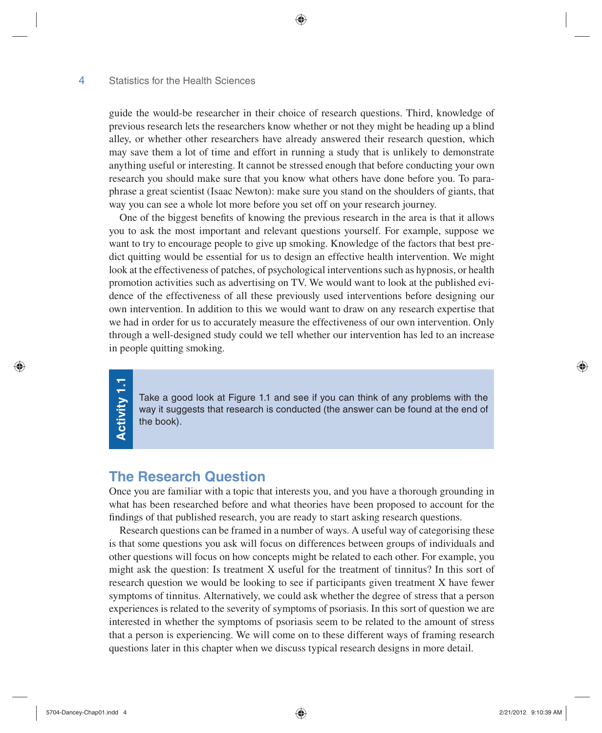guide the would-be researcher in their choice of research questions. Third, knowledge of previous research lets the researchers know whether or not they might be heading up a blind alley, or whether other researchers have already answered their research question, which may save them a lot of time and effort in running a study that is unlikely to demonstrate anything useful or interesting. It cannot be stressed enough that before conducting your own research you should make sure that you know what others have done before you. To paraphrase a great scientist (Isaac Newton): make sure you stand on the shoulders of giants, that way you can see a whole lot more before you set off on your research journey.

♠

One of the biggest benefits of knowing the previous research in the area is that it allows you to ask the most important and relevant questions yourself. For example, suppose we want to try to encourage people to give up smoking. Knowledge of the factors that best predict quitting would be essential for us to design an effective health intervention. We might look at the effectiveness of patches, of psychological interventions such as hypnosis, or health promotion activities such as advertising on TV. We would want to look at the published evidence of the effectiveness of all these previously used interventions before designing our own intervention. In addition to this we would want to draw on any research expertise that we had in order for us to accurately measure the effectiveness of our own intervention. Only through a well-designed study could we tell whether our intervention has led to an increase in people quitting smoking.

# **Activity 1.1 Activity 1.1**

◈

Take a good look at Figure 1.1 and see if you can think of any problems with the way it suggests that research is conducted (the answer can be found at the end of the book).

#### **The Research Question**

Once you are familiar with a topic that interests you, and you have a thorough grounding in what has been researched before and what theories have been proposed to account for the findings of that published research, you are ready to start asking research questions.

Research questions can be framed in a number of ways. A useful way of categorising these is that some questions you ask will focus on differences between groups of individuals and other questions will focus on how concepts might be related to each other. For example, you might ask the question: Is treatment X useful for the treatment of tinnitus? In this sort of research question we would be looking to see if participants given treatment X have fewer symptoms of tinnitus. Alternatively, we could ask whether the degree of stress that a person experiences is related to the severity of symptoms of psoriasis. In this sort of question we are interested in whether the symptoms of psoriasis seem to be related to the amount of stress that a person is experiencing. We will come on to these different ways of framing research questions later in this chapter when we discuss typical research designs in more detail.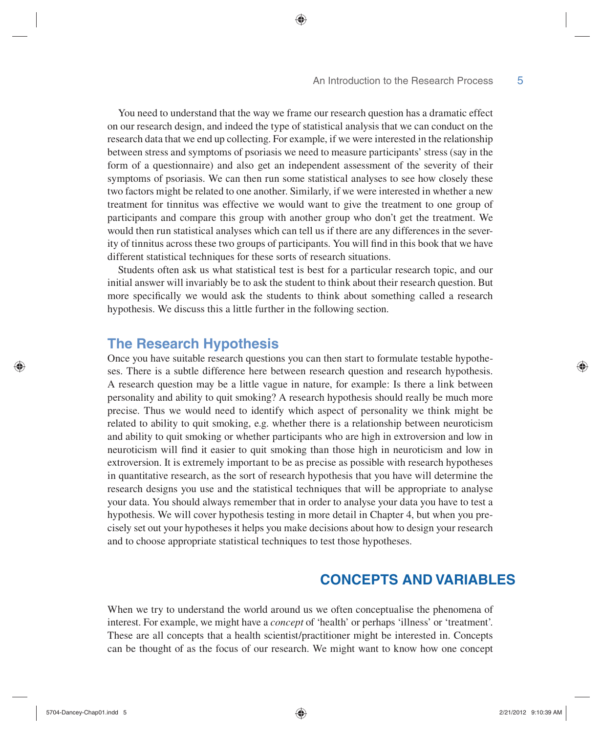You need to understand that the way we frame our research question has a dramatic effect on our research design, and indeed the type of statistical analysis that we can conduct on the research data that we end up collecting. For example, if we were interested in the relationship between stress and symptoms of psoriasis we need to measure participants' stress (say in the form of a questionnaire) and also get an independent assessment of the severity of their symptoms of psoriasis. We can then run some statistical analyses to see how closely these two factors might be related to one another. Similarly, if we were interested in whether a new treatment for tinnitus was effective we would want to give the treatment to one group of participants and compare this group with another group who don't get the treatment. We would then run statistical analyses which can tell us if there are any differences in the severity of tinnitus across these two groups of participants. You will find in this book that we have different statistical techniques for these sorts of research situations.

⊕

Students often ask us what statistical test is best for a particular research topic, and our initial answer will invariably be to ask the student to think about their research question. But more specifically we would ask the students to think about something called a research hypothesis. We discuss this a little further in the following section.

## **The Research Hypothesis**

Once you have suitable research questions you can then start to formulate testable hypotheses. There is a subtle difference here between research question and research hypothesis. A research question may be a little vague in nature, for example: Is there a link between personality and ability to quit smoking? A research hypothesis should really be much more precise. Thus we would need to identify which aspect of personality we think might be related to ability to quit smoking, e.g. whether there is a relationship between neuroticism and ability to quit smoking or whether participants who are high in extroversion and low in neuroticism will find it easier to quit smoking than those high in neuroticism and low in extroversion. It is extremely important to be as precise as possible with research hypotheses in quantitative research, as the sort of research hypothesis that you have will determine the research designs you use and the statistical techniques that will be appropriate to analyse your data. You should always remember that in order to analyse your data you have to test a hypothesis. We will cover hypothesis testing in more detail in Chapter 4, but when you precisely set out your hypotheses it helps you make decisions about how to design your research and to choose appropriate statistical techniques to test those hypotheses.

## **CONCEPTS AND VARIABLES**

When we try to understand the world around us we often conceptualise the phenomena of interest. For example, we might have a *concept* of 'health' or perhaps 'illness' or 'treatment'. These are all concepts that a health scientist/practitioner might be interested in. Concepts can be thought of as the focus of our research. We might want to know how one concept

♠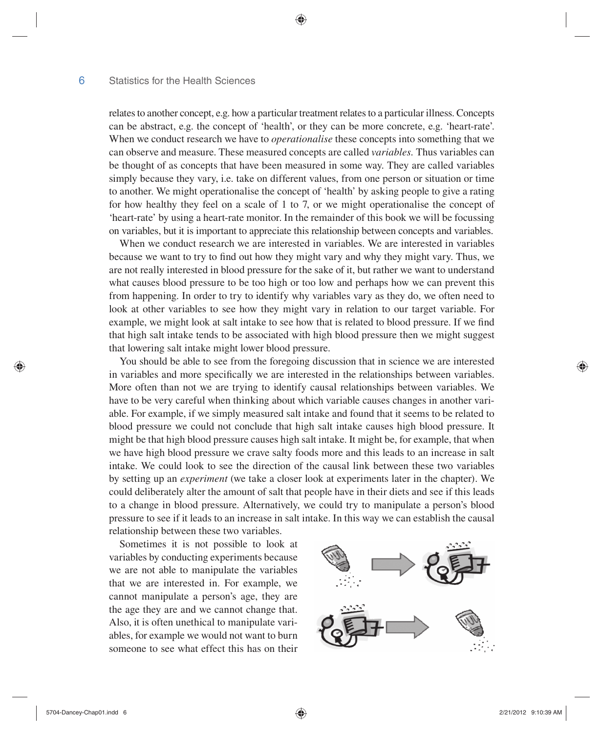relates to another concept, e.g. how a particular treatment relates to a particular illness. Concepts can be abstract, e.g. the concept of 'health', or they can be more concrete, e.g. 'heart-rate'. When we conduct research we have to *operationalise* these concepts into something that we can observe and measure. These measured concepts are called *variables.* Thus variables can be thought of as concepts that have been measured in some way. They are called variables simply because they vary, i.e. take on different values, from one person or situation or time to another. We might operationalise the concept of 'health' by asking people to give a rating for how healthy they feel on a scale of 1 to 7, or we might operationalise the concept of 'heart-rate' by using a heart-rate monitor. In the remainder of this book we will be focussing on variables, but it is important to appreciate this relationship between concepts and variables.

♠

When we conduct research we are interested in variables. We are interested in variables because we want to try to find out how they might vary and why they might vary. Thus, we are not really interested in blood pressure for the sake of it, but rather we want to understand what causes blood pressure to be too high or too low and perhaps how we can prevent this from happening. In order to try to identify why variables vary as they do, we often need to look at other variables to see how they might vary in relation to our target variable. For example, we might look at salt intake to see how that is related to blood pressure. If we find that high salt intake tends to be associated with high blood pressure then we might suggest that lowering salt intake might lower blood pressure.

You should be able to see from the foregoing discussion that in science we are interested in variables and more specifically we are interested in the relationships between variables. More often than not we are trying to identify causal relationships between variables. We have to be very careful when thinking about which variable causes changes in another variable. For example, if we simply measured salt intake and found that it seems to be related to blood pressure we could not conclude that high salt intake causes high blood pressure. It might be that high blood pressure causes high salt intake. It might be, for example, that when we have high blood pressure we crave salty foods more and this leads to an increase in salt intake. We could look to see the direction of the causal link between these two variables by setting up an *experiment* (we take a closer look at experiments later in the chapter). We could deliberately alter the amount of salt that people have in their diets and see if this leads to a change in blood pressure. Alternatively, we could try to manipulate a person's blood pressure to see if it leads to an increase in salt intake. In this way we can establish the causal relationship between these two variables.

Sometimes it is not possible to look at variables by conducting experiments because we are not able to manipulate the variables that we are interested in. For example, we cannot manipulate a person's age, they are the age they are and we cannot change that. Also, it is often unethical to manipulate variables, for example we would not want to burn someone to see what effect this has on their



5704-Dancey-Chap01.indd 6 2/21/2012 9:10:39 AM /21/2012 9:10:39 AM /21/2012 9:10:39 AM /21/2012 9:10:39 AM /21/

♠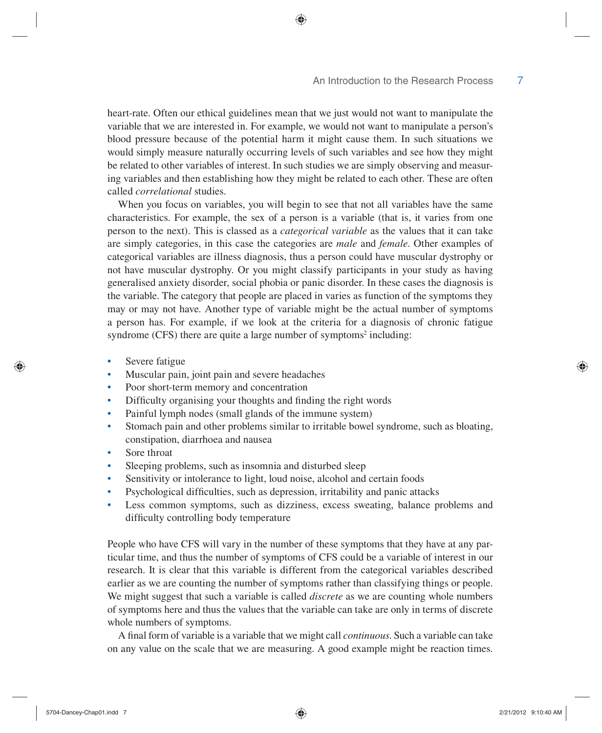#### An Introduction to the Research Process  $\overline{7}$

heart-rate. Often our ethical guidelines mean that we just would not want to manipulate the variable that we are interested in. For example, we would not want to manipulate a person's blood pressure because of the potential harm it might cause them. In such situations we would simply measure naturally occurring levels of such variables and see how they might be related to other variables of interest. In such studies we are simply observing and measuring variables and then establishing how they might be related to each other. These are often called *correlational* studies.

♠

When you focus on variables, you will begin to see that not all variables have the same characteristics. For example, the sex of a person is a variable (that is, it varies from one person to the next). This is classed as a *categorical variable* as the values that it can take are simply categories, in this case the categories are *male* and *female*. Other examples of categorical variables are illness diagnosis, thus a person could have muscular dystrophy or not have muscular dystrophy. Or you might classify participants in your study as having generalised anxiety disorder, social phobia or panic disorder. In these cases the diagnosis is the variable. The category that people are placed in varies as function of the symptoms they may or may not have. Another type of variable might be the actual number of symptoms a person has. For example, if we look at the criteria for a diagnosis of chronic fatigue syndrome (CFS) there are quite a large number of symptoms<sup>2</sup> including:

- Severe fatigue
- Muscular pain, joint pain and severe headaches
- Poor short-term memory and concentration
- Difficulty organising your thoughts and finding the right words
- Painful lymph nodes (small glands of the immune system)
- Stomach pain and other problems similar to irritable bowel syndrome, such as bloating, constipation, diarrhoea and nausea
- Sore throat
- Sleeping problems, such as insomnia and disturbed sleep
- Sensitivity or intolerance to light, loud noise, alcohol and certain foods
- Psychological difficulties, such as depression, irritability and panic attacks
- Less common symptoms, such as dizziness, excess sweating, balance problems and difficulty controlling body temperature

People who have CFS will vary in the number of these symptoms that they have at any particular time, and thus the number of symptoms of CFS could be a variable of interest in our research. It is clear that this variable is different from the categorical variables described earlier as we are counting the number of symptoms rather than classifying things or people. We might suggest that such a variable is called *discrete* as we are counting whole numbers of symptoms here and thus the values that the variable can take are only in terms of discrete whole numbers of symptoms.

A fi nal form of variable is a variable that we might call *continuous*. Such a variable can take on any value on the scale that we are measuring. A good example might be reaction times.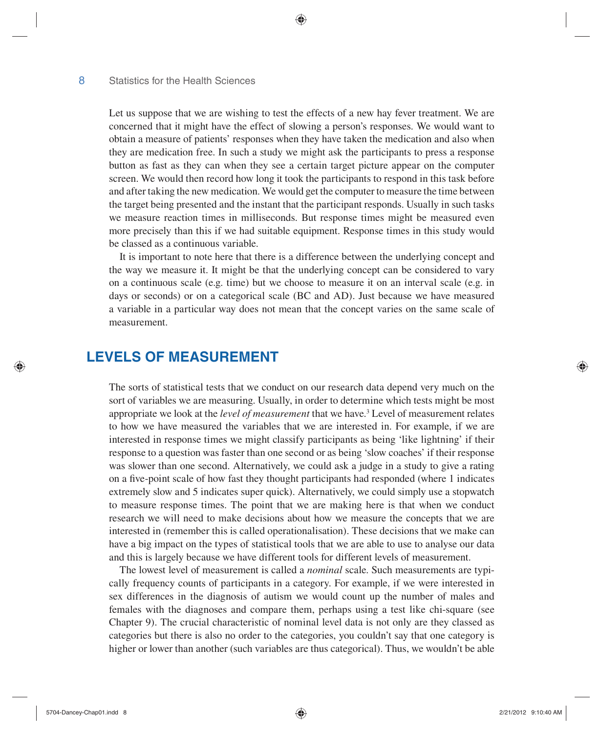Let us suppose that we are wishing to test the effects of a new hay fever treatment. We are concerned that it might have the effect of slowing a person's responses. We would want to obtain a measure of patients' responses when they have taken the medication and also when they are medication free. In such a study we might ask the participants to press a response button as fast as they can when they see a certain target picture appear on the computer screen. We would then record how long it took the participants to respond in this task before and after taking the new medication. We would get the computer to measure the time between the target being presented and the instant that the participant responds. Usually in such tasks we measure reaction times in milliseconds. But response times might be measured even more precisely than this if we had suitable equipment. Response times in this study would be classed as a continuous variable.

♠

It is important to note here that there is a difference between the underlying concept and the way we measure it. It might be that the underlying concept can be considered to vary on a continuous scale (e.g. time) but we choose to measure it on an interval scale (e.g. in days or seconds) or on a categorical scale (BC and AD). Just because we have measured a variable in a particular way does not mean that the concept varies on the same scale of measurement.

## **LEVELS OF MEASUREMENT**

The sorts of statistical tests that we conduct on our research data depend very much on the sort of variables we are measuring. Usually, in order to determine which tests might be most appropriate we look at the *level of measurement* that we have.<sup>3</sup> Level of measurement relates to how we have measured the variables that we are interested in. For example, if we are interested in response times we might classify participants as being 'like lightning' if their response to a question was faster than one second or as being 'slow coaches' if their response was slower than one second. Alternatively, we could ask a judge in a study to give a rating on a five-point scale of how fast they thought participants had responded (where 1 indicates extremely slow and 5 indicates super quick). Alternatively, we could simply use a stopwatch to measure response times. The point that we are making here is that when we conduct research we will need to make decisions about how we measure the concepts that we are interested in (remember this is called operationalisation). These decisions that we make can have a big impact on the types of statistical tools that we are able to use to analyse our data and this is largely because we have different tools for different levels of measurement.

The lowest level of measurement is called a *nominal* scale. Such measurements are typically frequency counts of participants in a category. For example, if we were interested in sex differences in the diagnosis of autism we would count up the number of males and females with the diagnoses and compare them, perhaps using a test like chi-square (see Chapter 9). The crucial characteristic of nominal level data is not only are they classed as categories but there is also no order to the categories, you couldn't say that one category is higher or lower than another (such variables are thus categorical). Thus, we wouldn't be able

♠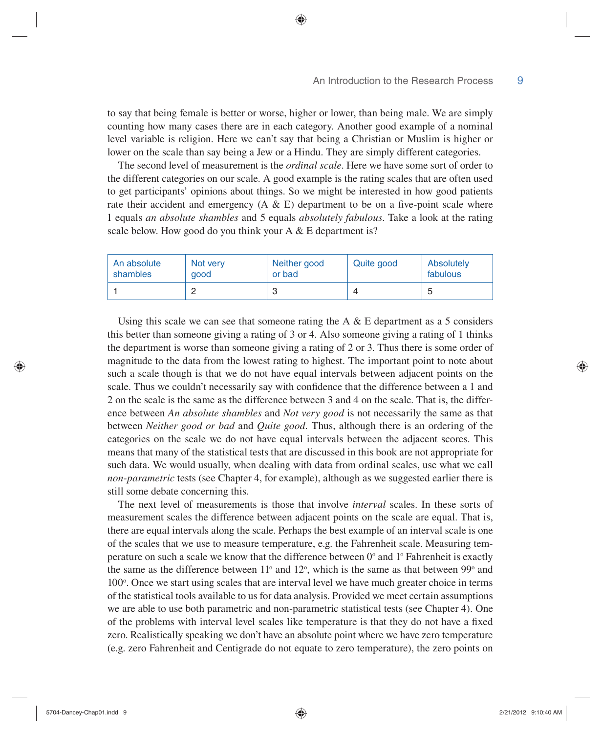to say that being female is better or worse, higher or lower, than being male. We are simply counting how many cases there are in each category. Another good example of a nominal level variable is religion. Here we can't say that being a Christian or Muslim is higher or lower on the scale than say being a Jew or a Hindu. They are simply different categories.

♠

The second level of measurement is the *ordinal scale*. Here we have some sort of order to the different categories on our scale. A good example is the rating scales that are often used to get participants' opinions about things. So we might be interested in how good patients rate their accident and emergency  $(A \& E)$  department to be on a five-point scale where 1 equals *an absolute shambles* and 5 equals *absolutely fabulous*. Take a look at the rating scale below. How good do you think your A & E department is?

| An absolute | Not very | Neither good | Quite good | Absolutely |
|-------------|----------|--------------|------------|------------|
| shambles    | good     | or bad       |            | fabulous   |
|             |          | c            |            |            |

Using this scale we can see that someone rating the A  $\&$  E department as a 5 considers this better than someone giving a rating of 3 or 4. Also someone giving a rating of 1 thinks the department is worse than someone giving a rating of 2 or 3. Thus there is some order of magnitude to the data from the lowest rating to highest. The important point to note about such a scale though is that we do not have equal intervals between adjacent points on the scale. Thus we couldn't necessarily say with confidence that the difference between a 1 and 2 on the scale is the same as the difference between 3 and 4 on the scale. That is, the difference between *An absolute shambles* and *Not very good* is not necessarily the same as that between *Neither good or bad* and *Quite good.* Thus, although there is an ordering of the categories on the scale we do not have equal intervals between the adjacent scores. This means that many of the statistical tests that are discussed in this book are not appropriate for such data. We would usually, when dealing with data from ordinal scales, use what we call *non-parametric* tests (see Chapter 4, for example), although as we suggested earlier there is still some debate concerning this.

The next level of measurements is those that involve *interval* scales. In these sorts of measurement scales the difference between adjacent points on the scale are equal. That is, there are equal intervals along the scale. Perhaps the best example of an interval scale is one of the scales that we use to measure temperature, e.g. the Fahrenheit scale. Measuring temperature on such a scale we know that the difference between  $0^{\circ}$  and  $1^{\circ}$  Fahrenheit is exactly the same as the difference between  $11^{\circ}$  and  $12^{\circ}$ , which is the same as that between  $99^{\circ}$  and 100°. Once we start using scales that are interval level we have much greater choice in terms of the statistical tools available to us for data analysis. Provided we meet certain assumptions we are able to use both parametric and non-parametric statistical tests (see Chapter 4). One of the problems with interval level scales like temperature is that they do not have a fixed zero. Realistically speaking we don't have an absolute point where we have zero temperature (e.g. zero Fahrenheit and Centigrade do not equate to zero temperature), the zero points on

5704-Dancey-Chap01.indd 9 2/21/2012 9:10:40 AM /21/2012 9:10:40 AM /21/2012 9:10:40 AM /21/2012 9:10:40 AM /21/2012 9:10:40 AM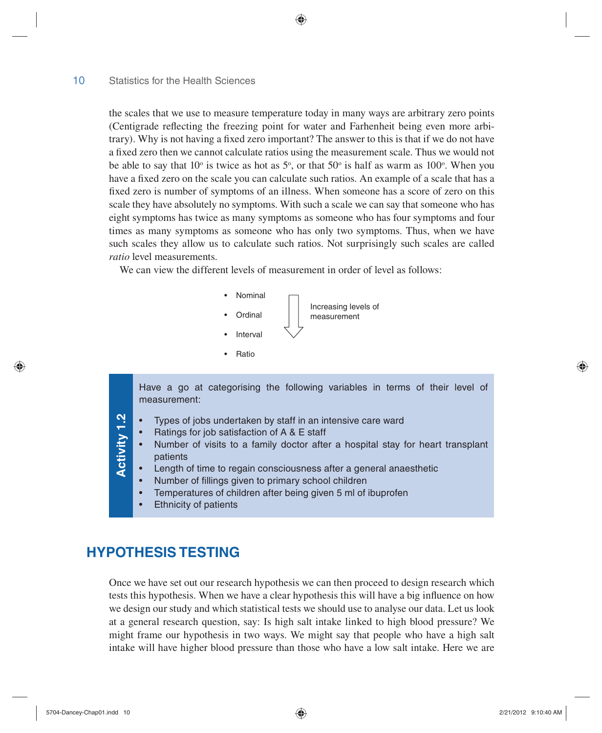the scales that we use to measure temperature today in many ways are arbitrary zero points (Centigrade reflecting the freezing point for water and Farhenheit being even more arbitrary). Why is not having a fixed zero important? The answer to this is that if we do not have a fixed zero then we cannot calculate ratios using the measurement scale. Thus we would not be able to say that  $10^{\circ}$  is twice as hot as  $5^{\circ}$ , or that  $50^{\circ}$  is half as warm as  $100^{\circ}$ . When you have a fixed zero on the scale you can calculate such ratios. An example of a scale that has a fixed zero is number of symptoms of an illness. When someone has a score of zero on this scale they have absolutely no symptoms. With such a scale we can say that someone who has eight symptoms has twice as many symptoms as someone who has four symptoms and four times as many symptoms as someone who has only two symptoms. Thus, when we have such scales they allow us to calculate such ratios. Not surprisingly such scales are called *ratio* level measurements.

♠

We can view the different levels of measurement in order of level as follows:



Have a go at categorising the following variables in terms of their level of measurement:

- **Activity 1.2 Activity 1.2** Types of jobs undertaken by staff in an intensive care ward
	- Ratings for job satisfaction of A & E staff
	- Number of visits to a family doctor after a hospital stay for heart transplant patients
	- Length of time to regain consciousness after a general anaesthetic
	- Number of fillings given to primary school children
	- Temperatures of children after being given 5 ml of ibuprofen
	- **Ethnicity of patients**

## **HYPOTHESIS TESTING**

Once we have set out our research hypothesis we can then proceed to design research which tests this hypothesis. When we have a clear hypothesis this will have a big influence on how we design our study and which statistical tests we should use to analyse our data. Let us look at a general research question, say: Is high salt intake linked to high blood pressure? We might frame our hypothesis in two ways. We might say that people who have a high salt intake will have higher blood pressure than those who have a low salt intake. Here we are

◈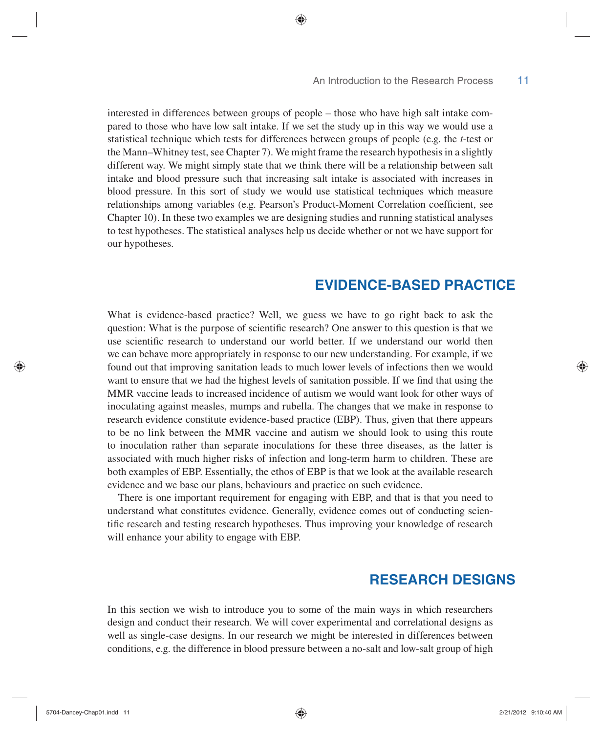interested in differences between groups of people – those who have high salt intake compared to those who have low salt intake. If we set the study up in this way we would use a statistical technique which tests for differences between groups of people (e.g. the *t*-test or the Mann–Whitney test, see Chapter 7). We might frame the research hypothesis in a slightly different way. We might simply state that we think there will be a relationship between salt intake and blood pressure such that increasing salt intake is associated with increases in blood pressure. In this sort of study we would use statistical techniques which measure relationships among variables (e.g. Pearson's Product-Moment Correlation coefficient, see Chapter 10). In these two examples we are designing studies and running statistical analyses to test hypotheses. The statistical analyses help us decide whether or not we have support for our hypotheses.

⊕

#### **EVIDENCE-BASED PRACTICE**

What is evidence-based practice? Well, we guess we have to go right back to ask the question: What is the purpose of scientific research? One answer to this question is that we use scientific research to understand our world better. If we understand our world then we can behave more appropriately in response to our new understanding. For example, if we found out that improving sanitation leads to much lower levels of infections then we would want to ensure that we had the highest levels of sanitation possible. If we find that using the MMR vaccine leads to increased incidence of autism we would want look for other ways of inoculating against measles, mumps and rubella. The changes that we make in response to research evidence constitute evidence-based practice (EBP). Thus, given that there appears to be no link between the MMR vaccine and autism we should look to using this route to inoculation rather than separate inoculations for these three diseases, as the latter is associated with much higher risks of infection and long-term harm to children. These are both examples of EBP. Essentially, the ethos of EBP is that we look at the available research evidence and we base our plans, behaviours and practice on such evidence.

There is one important requirement for engaging with EBP, and that is that you need to understand what constitutes evidence. Generally, evidence comes out of conducting scientific research and testing research hypotheses. Thus improving your knowledge of research will enhance your ability to engage with EBP.

## **RESEARCH DESIGNS**

In this section we wish to introduce you to some of the main ways in which researchers design and conduct their research. We will cover experimental and correlational designs as well as single-case designs. In our research we might be interested in differences between conditions, e.g. the difference in blood pressure between a no-salt and low-salt group of high

◈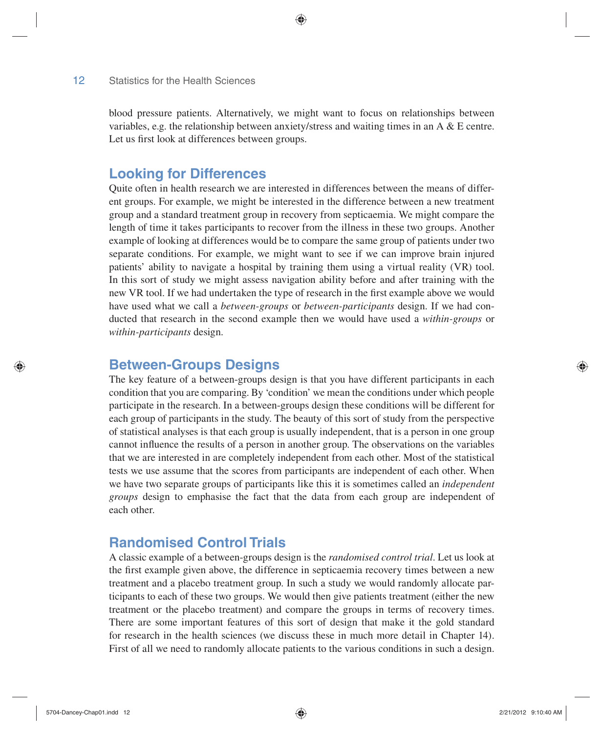blood pressure patients. Alternatively, we might want to focus on relationships between variables, e.g. the relationship between anxiety/stress and waiting times in an A & E centre. Let us first look at differences between groups.

⊕

#### **Looking for Differences**

Quite often in health research we are interested in differences between the means of different groups. For example, we might be interested in the difference between a new treatment group and a standard treatment group in recovery from septicaemia. We might compare the length of time it takes participants to recover from the illness in these two groups. Another example of looking at differences would be to compare the same group of patients under two separate conditions. For example, we might want to see if we can improve brain injured patients' ability to navigate a hospital by training them using a virtual reality (VR) tool. In this sort of study we might assess navigation ability before and after training with the new VR tool. If we had undertaken the type of research in the first example above we would have used what we call a *between-groups* or *between-participants* design. If we had conducted that research in the second example then we would have used a *within-groups* or *within-participants* design.

#### **Between-Groups Designs**

The key feature of a between-groups design is that you have different participants in each condition that you are comparing. By 'condition' we mean the conditions under which people participate in the research. In a between-groups design these conditions will be different for each group of participants in the study. The beauty of this sort of study from the perspective of statistical analyses is that each group is usually independent, that is a person in one group cannot influence the results of a person in another group. The observations on the variables that we are interested in are completely independent from each other. Most of the statistical tests we use assume that the scores from participants are independent of each other. When we have two separate groups of participants like this it is sometimes called an *independent groups* design to emphasise the fact that the data from each group are independent of each other.

### **Randomised Control Trials**

A classic example of a between-groups design is the *randomised control trial*. Let us look at the first example given above, the difference in septicaemia recovery times between a new treatment and a placebo treatment group. In such a study we would randomly allocate participants to each of these two groups. We would then give patients treatment (either the new treatment or the placebo treatment) and compare the groups in terms of recovery times. There are some important features of this sort of design that make it the gold standard for research in the health sciences (we discuss these in much more detail in Chapter 14). First of all we need to randomly allocate patients to the various conditions in such a design.

♠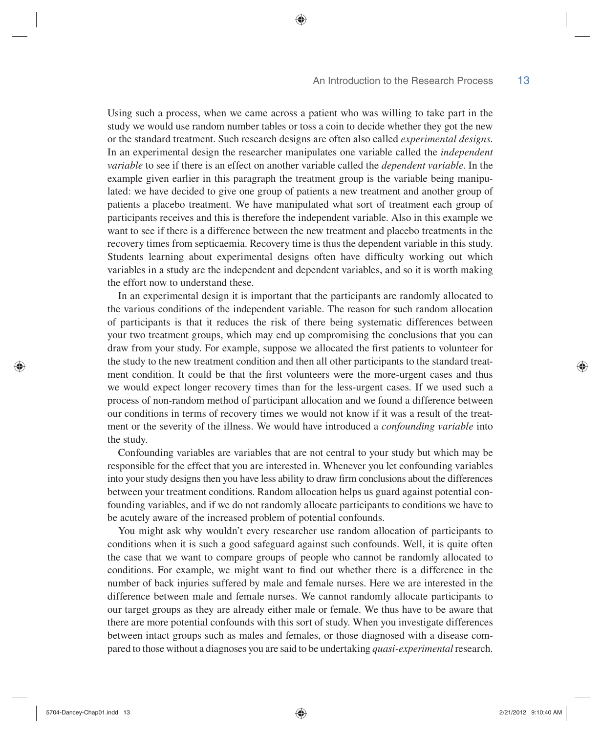Using such a process, when we came across a patient who was willing to take part in the study we would use random number tables or toss a coin to decide whether they got the new or the standard treatment. Such research designs are often also called *experimental designs*. In an experimental design the researcher manipulates one variable called the *independent variable* to see if there is an effect on another variable called the *dependent variable*. In the example given earlier in this paragraph the treatment group is the variable being manipulated: we have decided to give one group of patients a new treatment and another group of patients a placebo treatment. We have manipulated what sort of treatment each group of participants receives and this is therefore the independent variable. Also in this example we want to see if there is a difference between the new treatment and placebo treatments in the recovery times from septicaemia. Recovery time is thus the dependent variable in this study. Students learning about experimental designs often have difficulty working out which variables in a study are the independent and dependent variables, and so it is worth making the effort now to understand these.

♠

In an experimental design it is important that the participants are randomly allocated to the various conditions of the independent variable. The reason for such random allocation of participants is that it reduces the risk of there being systematic differences between your two treatment groups, which may end up compromising the conclusions that you can draw from your study. For example, suppose we allocated the first patients to volunteer for the study to the new treatment condition and then all other participants to the standard treatment condition. It could be that the first volunteers were the more-urgent cases and thus we would expect longer recovery times than for the less-urgent cases. If we used such a process of non-random method of participant allocation and we found a difference between our conditions in terms of recovery times we would not know if it was a result of the treatment or the severity of the illness. We would have introduced a *confounding variable* into the study.

Confounding variables are variables that are not central to your study but which may be responsible for the effect that you are interested in. Whenever you let confounding variables into your study designs then you have less ability to draw firm conclusions about the differences between your treatment conditions. Random allocation helps us guard against potential confounding variables, and if we do not randomly allocate participants to conditions we have to be acutely aware of the increased problem of potential confounds.

You might ask why wouldn't every researcher use random allocation of participants to conditions when it is such a good safeguard against such confounds. Well, it is quite often the case that we want to compare groups of people who cannot be randomly allocated to conditions. For example, we might want to find out whether there is a difference in the number of back injuries suffered by male and female nurses. Here we are interested in the difference between male and female nurses. We cannot randomly allocate participants to our target groups as they are already either male or female. We thus have to be aware that there are more potential confounds with this sort of study. When you investigate differences between intact groups such as males and females, or those diagnosed with a disease compared to those without a diagnoses you are said to be undertaking *quasi-experimental* research.

♠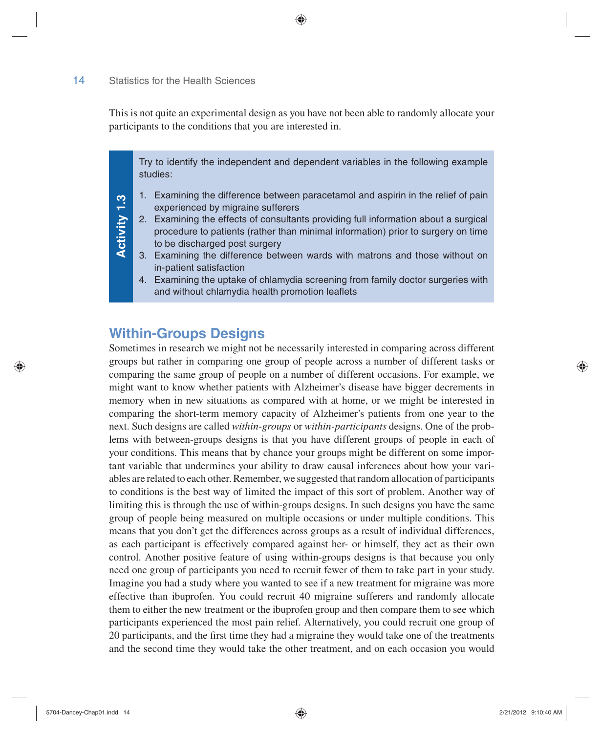This is not quite an experimental design as you have not been able to randomly allocate your participants to the conditions that you are interested in.

♠

Try to identify the independent and dependent variables in the following example studies:

- 1. Examining the difference between paracetamol and aspirin in the relief of pain **Activity 1.3** experienced by migraine sufferers
- 2. Examining the effects of consultants providing full information about a surgical procedure to patients (rather than minimal information) prior to surgery on time to be discharged post surgery **Activity 1.3**
	- 3. Examining the difference between wards with matrons and those without on in-patient satisfaction
		- 4. Examining the uptake of chlamydia screening from family doctor surgeries with and without chlamydia health promotion leaflets

## **Within-Groups Designs**

Sometimes in research we might not be necessarily interested in comparing across different groups but rather in comparing one group of people across a number of different tasks or comparing the same group of people on a number of different occasions. For example, we might want to know whether patients with Alzheimer's disease have bigger decrements in memory when in new situations as compared with at home, or we might be interested in comparing the short-term memory capacity of Alzheimer's patients from one year to the next. Such designs are called *within-groups* or *within-participants* designs. One of the problems with between-groups designs is that you have different groups of people in each of your conditions. This means that by chance your groups might be different on some important variable that undermines your ability to draw causal inferences about how your variables are related to each other. Remember, we suggested that random allocation of participants to conditions is the best way of limited the impact of this sort of problem. Another way of limiting this is through the use of within-groups designs. In such designs you have the same group of people being measured on multiple occasions or under multiple conditions. This means that you don't get the differences across groups as a result of individual differences, as each participant is effectively compared against her- or himself, they act as their own control. Another positive feature of using within-groups designs is that because you only need one group of participants you need to recruit fewer of them to take part in your study. Imagine you had a study where you wanted to see if a new treatment for migraine was more effective than ibuprofen. You could recruit 40 migraine sufferers and randomly allocate them to either the new treatment or the ibuprofen group and then compare them to see which participants experienced the most pain relief. Alternatively, you could recruit one group of 20 participants, and the first time they had a migraine they would take one of the treatments and the second time they would take the other treatment, and on each occasion you would

⊕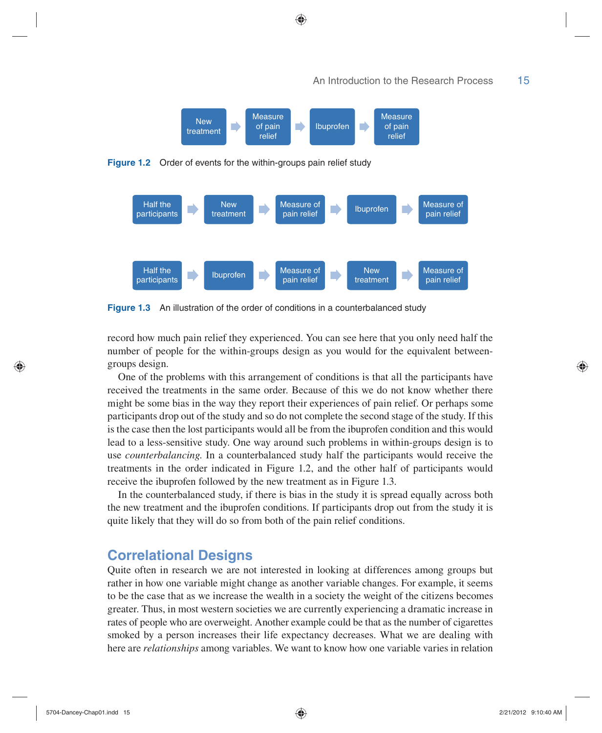

⊕

**Figure 1.2** Order of events for the within-groups pain relief study



**Figure 1.3** An illustration of the order of conditions in a counterbalanced study

record how much pain relief they experienced. You can see here that you only need half the number of people for the within-groups design as you would for the equivalent betweengroups design.

One of the problems with this arrangement of conditions is that all the participants have received the treatments in the same order. Because of this we do not know whether there might be some bias in the way they report their experiences of pain relief. Or perhaps some participants drop out of the study and so do not complete the second stage of the study. If this is the case then the lost participants would all be from the ibuprofen condition and this would lead to a less-sensitive study. One way around such problems in within-groups design is to use *counterbalancing*. In a counterbalanced study half the participants would receive the treatments in the order indicated in Figure 1.2, and the other half of participants would receive the ibuprofen followed by the new treatment as in Figure 1.3.

In the counterbalanced study, if there is bias in the study it is spread equally across both the new treatment and the ibuprofen conditions. If participants drop out from the study it is quite likely that they will do so from both of the pain relief conditions.

#### **Correlational Designs**

Quite often in research we are not interested in looking at differences among groups but rather in how one variable might change as another variable changes. For example, it seems to be the case that as we increase the wealth in a society the weight of the citizens becomes greater. Thus, in most western societies we are currently experiencing a dramatic increase in rates of people who are overweight. Another example could be that as the number of cigarettes smoked by a person increases their life expectancy decreases. What we are dealing with here are *relationships* among variables. We want to know how one variable varies in relation

⊕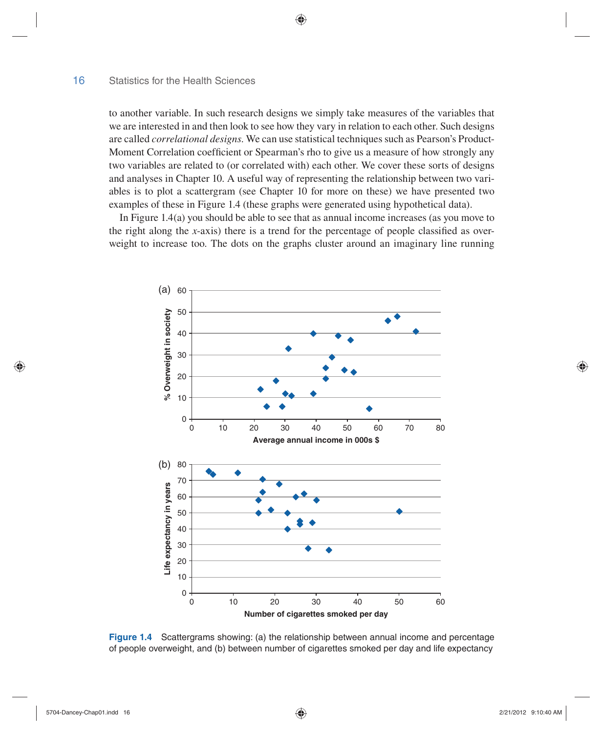to another variable. In such research designs we simply take measures of the variables that we are interested in and then look to see how they vary in relation to each other. Such designs are called *correlational designs*. We can use statistical techniques such as Pearson's Product-Moment Correlation coefficient or Spearman's rho to give us a measure of how strongly any two variables are related to (or correlated with) each other. We cover these sorts of designs and analyses in Chapter 10. A useful way of representing the relationship between two variables is to plot a scattergram (see Chapter 10 for more on these) we have presented two examples of these in Figure 1.4 (these graphs were generated using hypothetical data).

 $\bigoplus$ 

In Figure 1.4(a) you should be able to see that as annual income increases (as you move to the right along the *x*-axis) there is a trend for the percentage of people classified as overweight to increase too. The dots on the graphs cluster around an imaginary line running



**Figure 1.4** Scattergrams showing: (a) the relationship between annual income and percentage of people overweight, and (b) between number of cigarettes smoked per day and life expectancy

♠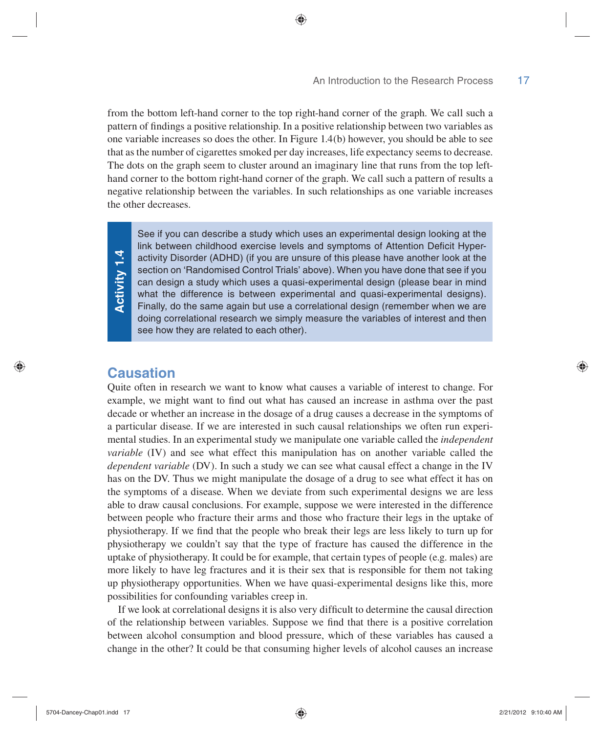from the bottom left-hand corner to the top right-hand corner of the graph. We call such a pattern of findings a positive relationship. In a positive relationship between two variables as one variable increases so does the other. In Figure 1.4(b) however, you should be able to see that as the number of cigarettes smoked per day increases, life expectancy seems to decrease. The dots on the graph seem to cluster around an imaginary line that runs from the top lefthand corner to the bottom right-hand corner of the graph. We call such a pattern of results a negative relationship between the variables. In such relationships as one variable increases the other decreases.

# **Activity 1.4 Activity 1.4**

◈

See if you can describe a study which uses an experimental design looking at the link between childhood exercise levels and symptoms of Attention Deficit Hyperactivity Disorder (ADHD) (if you are unsure of this please have another look at the section on 'Randomised Control Trials' above). When you have done that see if you can design a study which uses a quasi-experimental design (please bear in mind what the difference is between experimental and quasi-experimental designs). Finally, do the same again but use a correlational design (remember when we are doing correlational research we simply measure the variables of interest and then see how they are related to each other).

#### **Causation**

Quite often in research we want to know what causes a variable of interest to change. For example, we might want to find out what has caused an increase in asthma over the past decade or whether an increase in the dosage of a drug causes a decrease in the symptoms of a particular disease. If we are interested in such causal relationships we often run experimental studies. In an experimental study we manipulate one variable called the *independent variable* (IV) and see what effect this manipulation has on another variable called the *dependent variable* (DV). In such a study we can see what causal effect a change in the IV has on the DV. Thus we might manipulate the dosage of a drug to see what effect it has on the symptoms of a disease. When we deviate from such experimental designs we are less able to draw causal conclusions. For example, suppose we were interested in the difference between people who fracture their arms and those who fracture their legs in the uptake of physiotherapy. If we find that the people who break their legs are less likely to turn up for physiotherapy we couldn't say that the type of fracture has caused the difference in the uptake of physiotherapy. It could be for example, that certain types of people (e.g. males) are more likely to have leg fractures and it is their sex that is responsible for them not taking up physiotherapy opportunities. When we have quasi-experimental designs like this, more possibilities for confounding variables creep in.

If we look at correlational designs it is also very difficult to determine the causal direction of the relationship between variables. Suppose we find that there is a positive correlation between alcohol consumption and blood pressure, which of these variables has caused a change in the other? It could be that consuming higher levels of alcohol causes an increase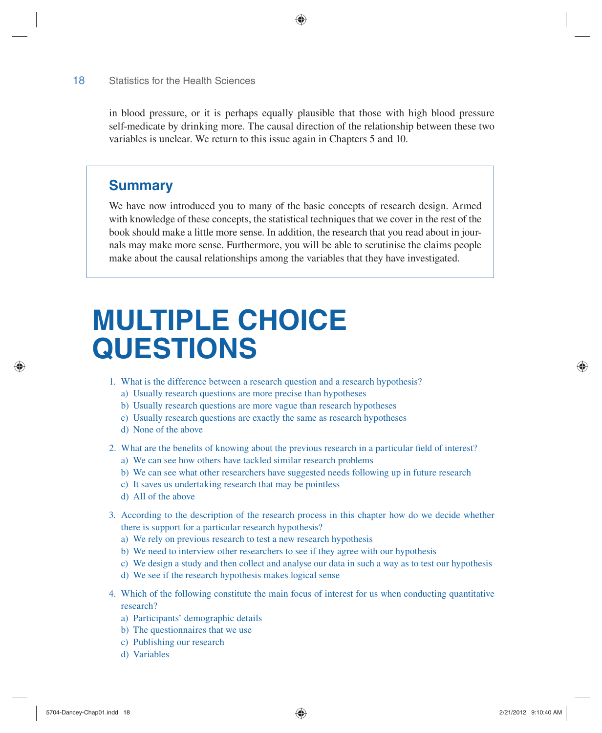in blood pressure, or it is perhaps equally plausible that those with high blood pressure self-medicate by drinking more. The causal direction of the relationship between these two variables is unclear. We return to this issue again in Chapters 5 and 10.

⊕

## **Summary**

We have now introduced you to many of the basic concepts of research design. Armed with knowledge of these concepts, the statistical techniques that we cover in the rest of the book should make a little more sense. In addition, the research that you read about in journals may make more sense. Furthermore, you will be able to scrutinise the claims people make about the causal relationships among the variables that they have investigated.

## **MULTIPLE CHOICE QUESTIONS**

- 1. What is the difference between a research question and a research hypothesis?
	- a) Usually research questions are more precise than hypotheses
	- b) Usually research questions are more vague than research hypotheses
	- c) Usually research questions are exactly the same as research hypotheses
	- d) None of the above
- 2. What are the benefits of knowing about the previous research in a particular field of interest?
	- a) We can see how others have tackled similar research problems
	- b) We can see what other researchers have suggested needs following up in future research
	- c) It saves us undertaking research that may be pointless
	- d) All of the above
- 3. According to the description of the research process in this chapter how do we decide whether there is support for a particular research hypothesis?
	- a) We rely on previous research to test a new research hypothesis
	- b) We need to interview other researchers to see if they agree with our hypothesis
	- c) We design a study and then collect and analyse our data in such a way as to test our hypothesis
	- d) We see if the research hypothesis makes logical sense
- 4. Which of the following constitute the main focus of interest for us when conducting quantitative research?
	- a) Participants' demographic details
	- b) The questionnaires that we use
	- c) Publishing our research
	- d) Variables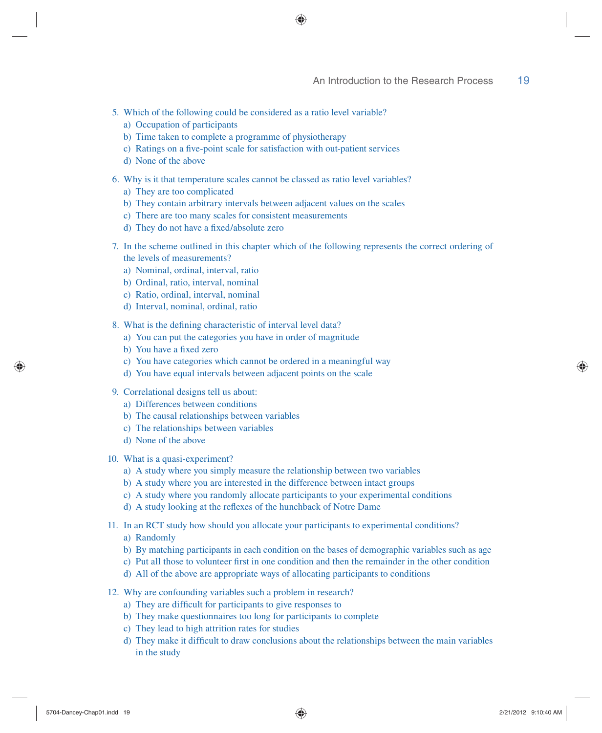- 5. Which of the following could be considered as a ratio level variable?
	- a) Occupation of participants
	- b) Time taken to complete a programme of physiotherapy
	- c) Ratings on a five-point scale for satisfaction with out-patient services
	- d) None of the above
- 6. Why is it that temperature scales cannot be classed as ratio level variables?
	- a) They are too complicated
	- b) They contain arbitrary intervals between adjacent values on the scales
	- c) There are too many scales for consistent measurements
	- d) They do not have a fixed/absolute zero
- 7. In the scheme outlined in this chapter which of the following represents the correct ordering of the levels of measurements?
	- a) Nominal, ordinal, interval, ratio
	- b) Ordinal, ratio, interval, nominal
	- c) Ratio, ordinal, interval, nominal
	- d) Interval, nominal, ordinal, ratio
- 8. What is the defining characteristic of interval level data?
	- a) You can put the categories you have in order of magnitude
	- b) You have a fixed zero
	- c) You have categories which cannot be ordered in a meaningful way
	- d) You have equal intervals between adjacent points on the scale
- 9. Correlational designs tell us about:
	- a) Differences between conditions
	- b) The causal relationships between variables
	- c) The relationships between variables
	- d) None of the above
- 10. What is a quasi-experiment?
	- a) A study where you simply measure the relationship between two variables
	- b) A study where you are interested in the difference between intact groups
	- c) A study where you randomly allocate participants to your experimental conditions
	- d) A study looking at the reflexes of the hunchback of Notre Dame
- 11. In an RCT study how should you allocate your participants to experimental conditions?
	- a) Randomly
	- b) By matching participants in each condition on the bases of demographic variables such as age
	- c) Put all those to volunteer first in one condition and then the remainder in the other condition
	- d) All of the above are appropriate ways of allocating participants to conditions
- 12. Why are confounding variables such a problem in research?
	- a) They are difficult for participants to give responses to
	- b) They make questionnaires too long for participants to complete
	- c) They lead to high attrition rates for studies
	- d) They make it difficult to draw conclusions about the relationships between the main variables in the study